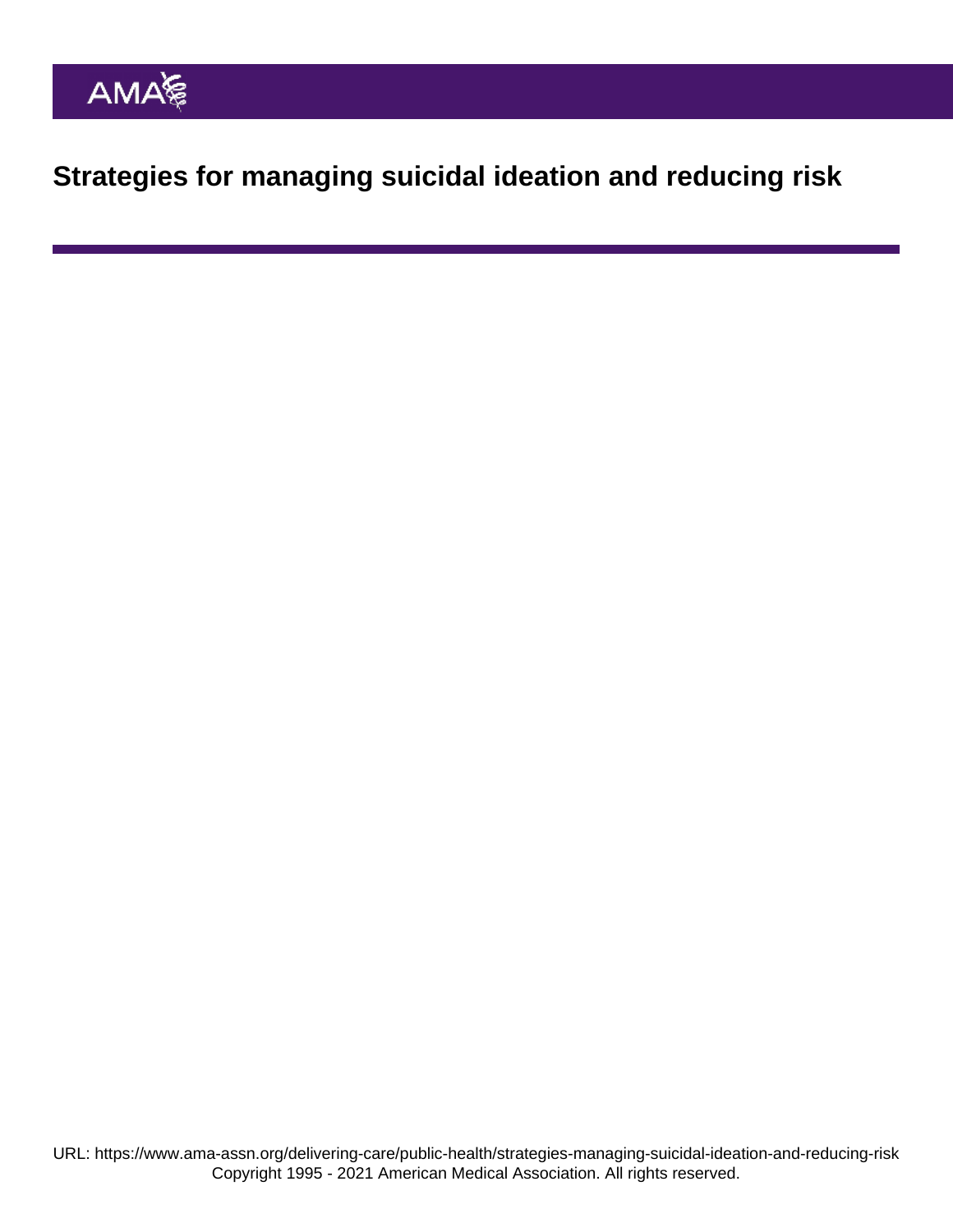Strategies for managing suicidal ideation and reducing risk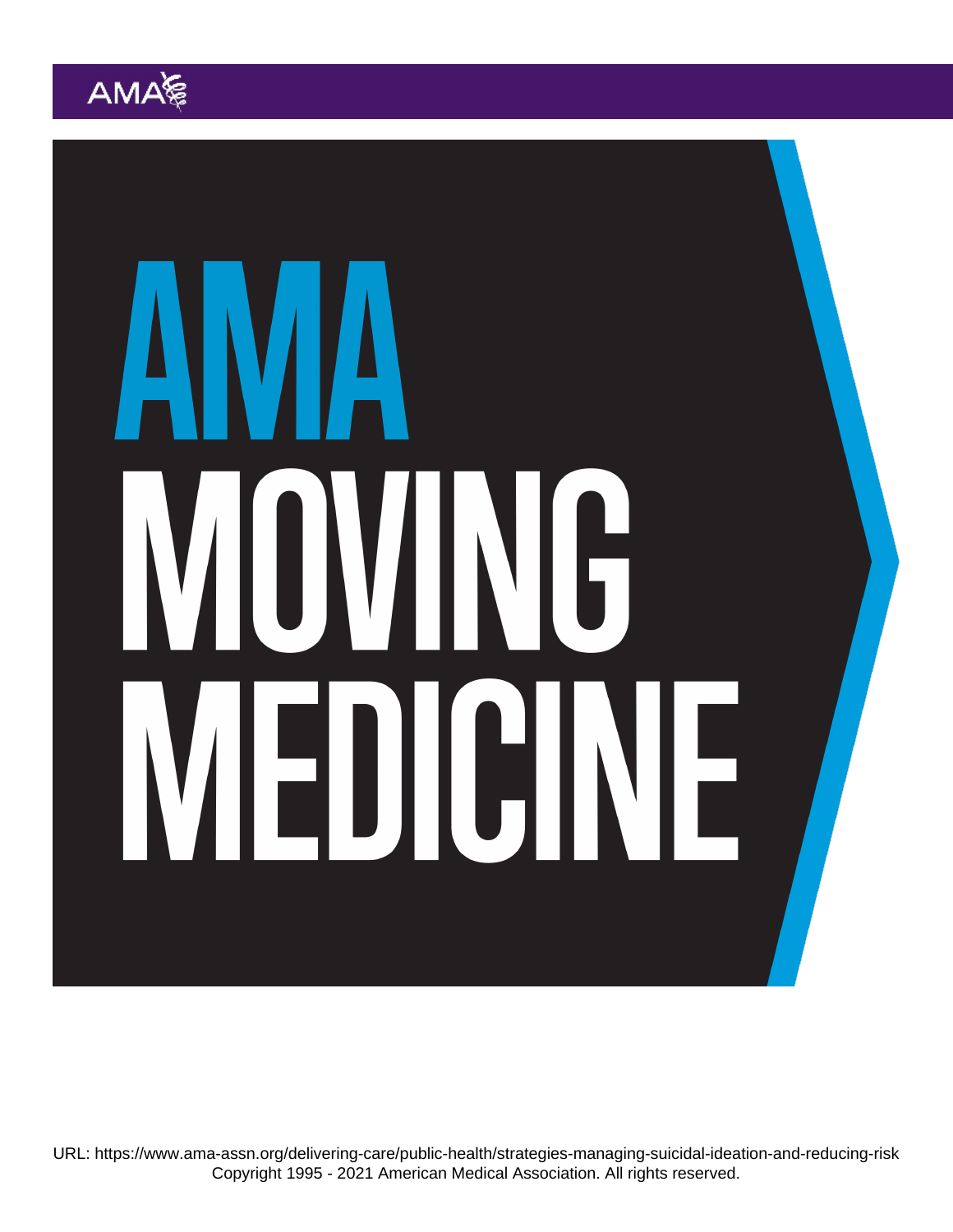URL: <https://www.ama-assn.org/delivering-care/public-health/strategies-managing-suicidal-ideation-and-reducing-risk> Copyright 1995 - 2021 American Medical Association. All rights reserved.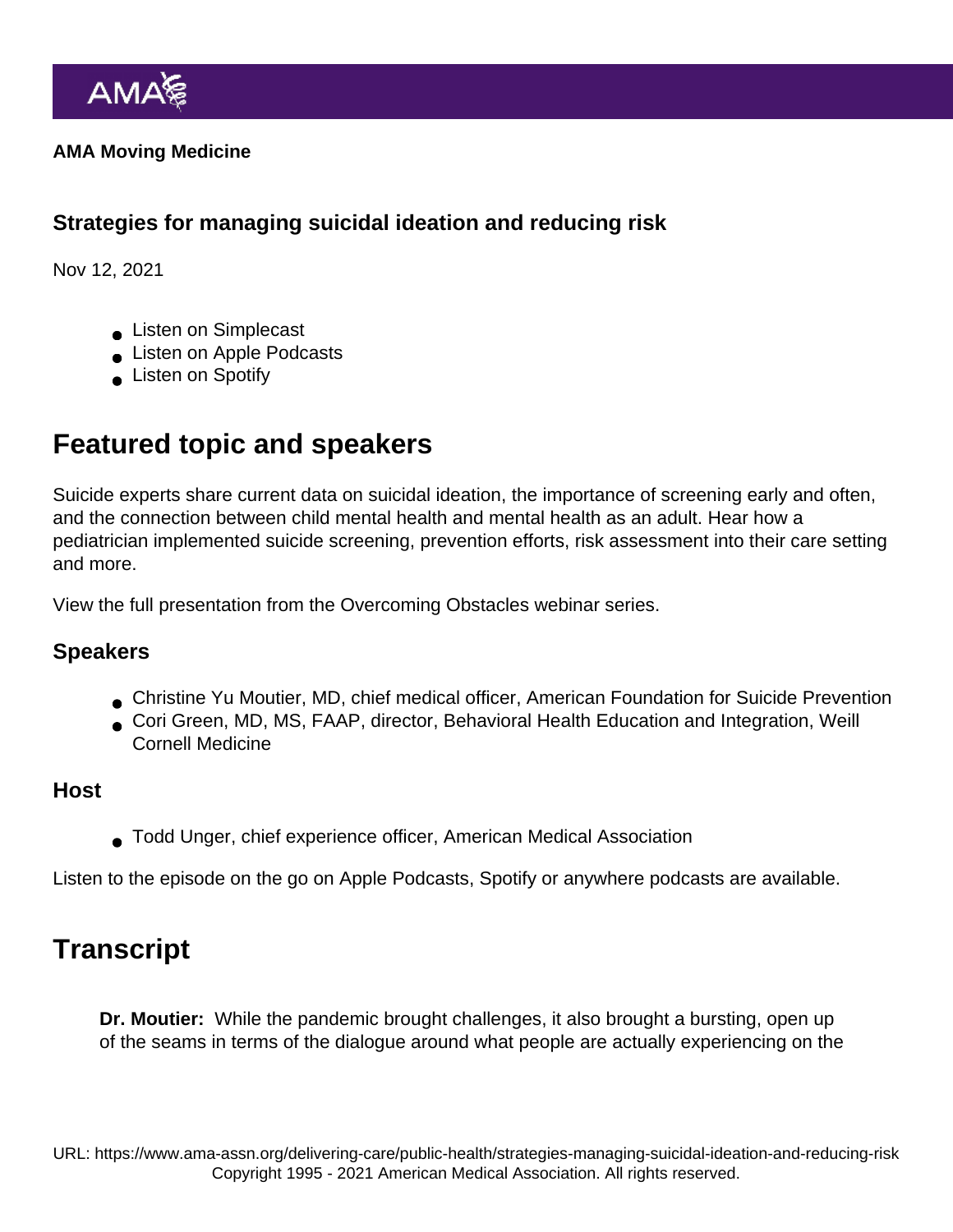AMA Moving Medicine

Strategies for managing suicidal ideation and reducing risk

Nov 12, 2021

- **Listen on Simplecast**
- **Listen on Apple Podcasts**
- **Listen on Spotify**

## Featured topic and speakers

Suicide experts share current data on suicidal ideation, the importance of screening early and often, and the connection between child mental health and mental health as an adult. Hear how a pediatrician implemented suicide screening, prevention efforts, risk assessment into their care setting and more.

[View the full presentation](https://www.ama-assn.org/delivering-care/public-health/practical-strategies-managing-suicidal-ideation-and-reducing-risk) from the Overcoming Obstacles webinar series.

## Speakers

- Christine Yu Moutier, MD, chief medical officer, American Foundation for Suicide Prevention
- Cori Green, MD, MS, FAAP, director, Behavioral Health Education and Integration, Weill Cornell Medicine

## Host

Todd Unger, chief experience officer, American Medical Association

Listen to the episode on the go on [Apple Podcasts,](https://podcasts.apple.com/us/podcast/strategies-for-managing-suicidal-ideation-and/id1428853046?i=1000541591644) [Spotify](https://open.spotify.com/episode/4sXT1SpVlQjnC0wAL7ZLU2?si=iuBCALXGS2SZRStdtvInxg) or [anywhere podcasts](https://ama-moving-medicine.simplecast.com/episodes/strategies-for-managing-suicidal-ideation-and-reducing-risk) are available.

## **Transcript**

Dr. Moutier: While the pandemic brought challenges, it also brought a bursting, open up of the seams in terms of the dialogue around what people are actually experiencing on the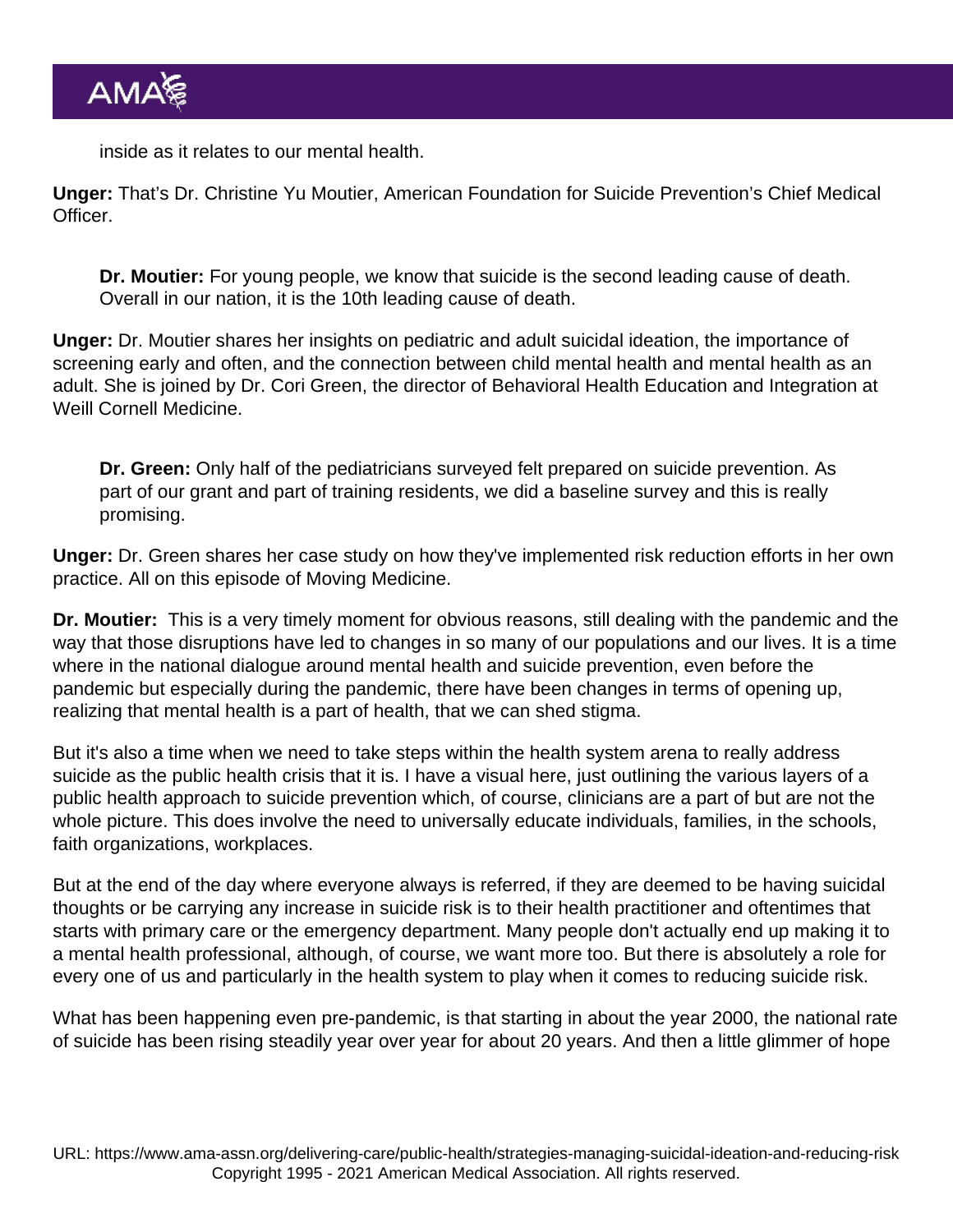inside as it relates to our mental health.

Unger: That's Dr. Christine Yu Moutier, American Foundation for Suicide Prevention's Chief Medical Officer.

Dr. Moutier: For young people, we know that suicide is the second leading cause of death. Overall in our nation, it is the 10th leading cause of death.

Unger: Dr. Moutier shares her insights on pediatric and adult suicidal ideation, the importance of screening early and often, and the connection between child mental health and mental health as an adult. She is joined by Dr. Cori Green, the director of Behavioral Health Education and Integration at Weill Cornell Medicine.

Dr. Green: Only half of the pediatricians surveyed felt prepared on suicide prevention. As part of our grant and part of training residents, we did a baseline survey and this is really promising.

Unger: Dr. Green shares her case study on how they've implemented risk reduction efforts in her own practice. All on this episode of Moving Medicine.

Dr. Moutier: This is a very timely moment for obvious reasons, still dealing with the pandemic and the way that those disruptions have led to changes in so many of our populations and our lives. It is a time where in the national dialogue around mental health and suicide prevention, even before the pandemic but especially during the pandemic, there have been changes in terms of opening up, realizing that mental health is a part of health, that we can shed stigma.

But it's also a time when we need to take steps within the health system arena to really address suicide as the public health crisis that it is. I have a visual here, just outlining the various layers of a public health approach to suicide prevention which, of course, clinicians are a part of but are not the whole picture. This does involve the need to universally educate individuals, families, in the schools, faith organizations, workplaces.

But at the end of the day where everyone always is referred, if they are deemed to be having suicidal thoughts or be carrying any increase in suicide risk is to their health practitioner and oftentimes that starts with primary care or the emergency department. Many people don't actually end up making it to a mental health professional, although, of course, we want more too. But there is absolutely a role for every one of us and particularly in the health system to play when it comes to reducing suicide risk.

What has been happening even pre-pandemic, is that starting in about the year 2000, the national rate of suicide has been rising steadily year over year for about 20 years. And then a little glimmer of hope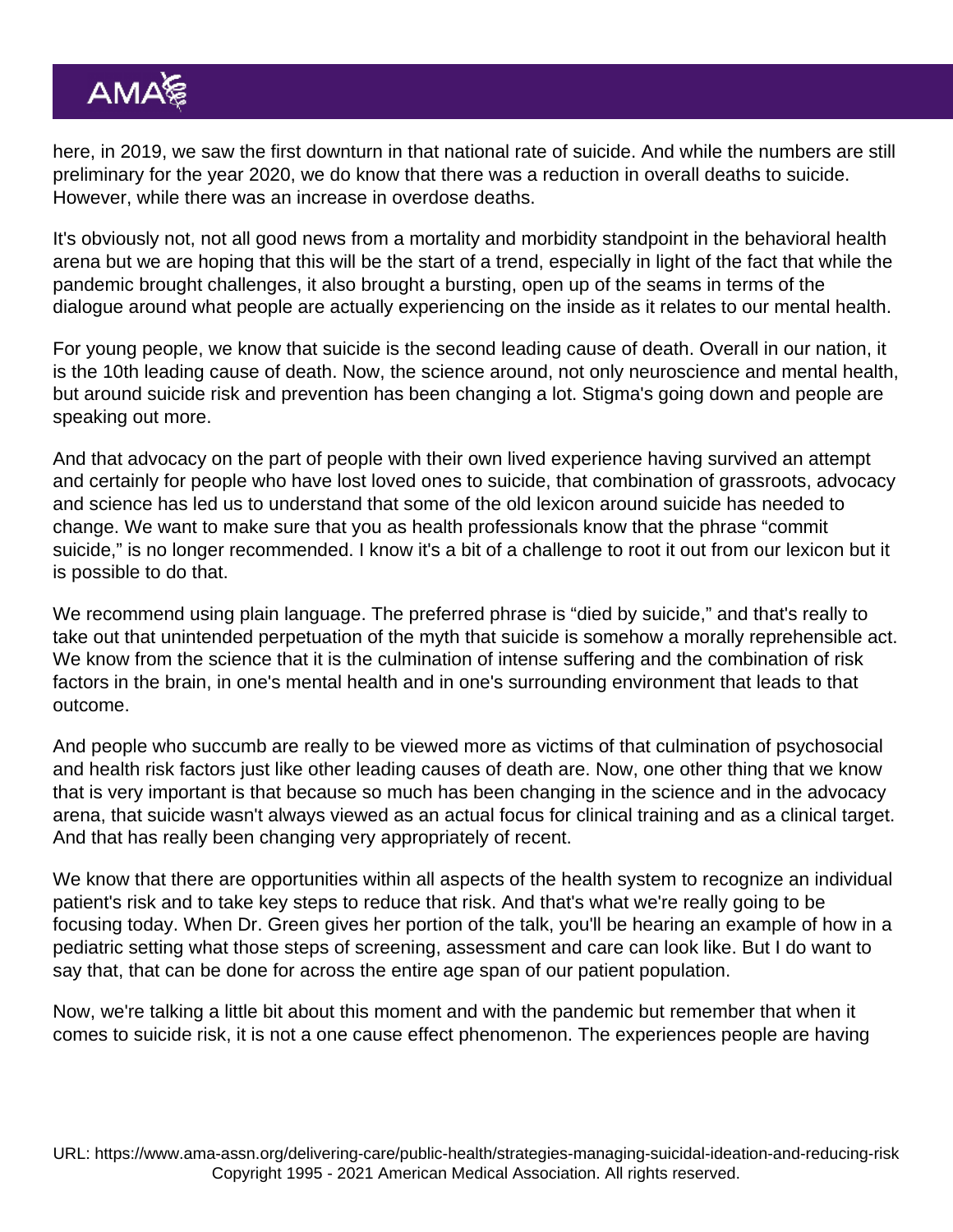here, in 2019, we saw the first downturn in that national rate of suicide. And while the numbers are still preliminary for the year 2020, we do know that there was a reduction in overall deaths to suicide. However, while there was an increase in overdose deaths.

It's obviously not, not all good news from a mortality and morbidity standpoint in the behavioral health arena but we are hoping that this will be the start of a trend, especially in light of the fact that while the pandemic brought challenges, it also brought a bursting, open up of the seams in terms of the dialogue around what people are actually experiencing on the inside as it relates to our mental health.

For young people, we know that suicide is the second leading cause of death. Overall in our nation, it is the 10th leading cause of death. Now, the science around, not only neuroscience and mental health, but around suicide risk and prevention has been changing a lot. Stigma's going down and people are speaking out more.

And that advocacy on the part of people with their own lived experience having survived an attempt and certainly for people who have lost loved ones to suicide, that combination of grassroots, advocacy and science has led us to understand that some of the old lexicon around suicide has needed to change. We want to make sure that you as health professionals know that the phrase "commit suicide," is no longer recommended. I know it's a bit of a challenge to root it out from our lexicon but it is possible to do that.

We recommend using plain language. The preferred phrase is "died by suicide," and that's really to take out that unintended perpetuation of the myth that suicide is somehow a morally reprehensible act. We know from the science that it is the culmination of intense suffering and the combination of risk factors in the brain, in one's mental health and in one's surrounding environment that leads to that outcome.

And people who succumb are really to be viewed more as victims of that culmination of psychosocial and health risk factors just like other leading causes of death are. Now, one other thing that we know that is very important is that because so much has been changing in the science and in the advocacy arena, that suicide wasn't always viewed as an actual focus for clinical training and as a clinical target. And that has really been changing very appropriately of recent.

We know that there are opportunities within all aspects of the health system to recognize an individual patient's risk and to take key steps to reduce that risk. And that's what we're really going to be focusing today. When Dr. Green gives her portion of the talk, you'll be hearing an example of how in a pediatric setting what those steps of screening, assessment and care can look like. But I do want to say that, that can be done for across the entire age span of our patient population.

Now, we're talking a little bit about this moment and with the pandemic but remember that when it comes to suicide risk, it is not a one cause effect phenomenon. The experiences people are having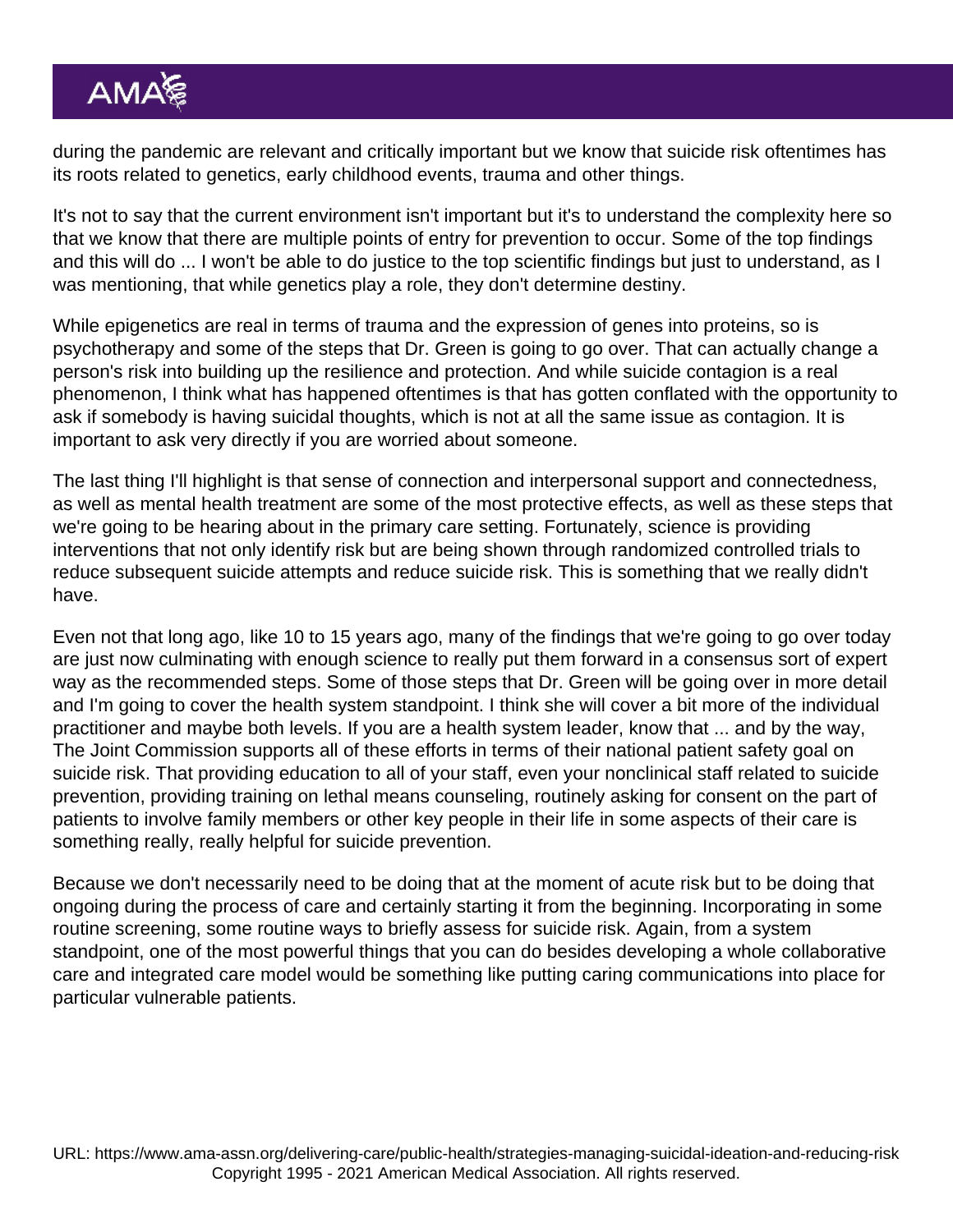during the pandemic are relevant and critically important but we know that suicide risk oftentimes has its roots related to genetics, early childhood events, trauma and other things.

It's not to say that the current environment isn't important but it's to understand the complexity here so that we know that there are multiple points of entry for prevention to occur. Some of the top findings and this will do ... I won't be able to do justice to the top scientific findings but just to understand, as I was mentioning, that while genetics play a role, they don't determine destiny.

While epigenetics are real in terms of trauma and the expression of genes into proteins, so is psychotherapy and some of the steps that Dr. Green is going to go over. That can actually change a person's risk into building up the resilience and protection. And while suicide contagion is a real phenomenon, I think what has happened oftentimes is that has gotten conflated with the opportunity to ask if somebody is having suicidal thoughts, which is not at all the same issue as contagion. It is important to ask very directly if you are worried about someone.

The last thing I'll highlight is that sense of connection and interpersonal support and connectedness, as well as mental health treatment are some of the most protective effects, as well as these steps that we're going to be hearing about in the primary care setting. Fortunately, science is providing interventions that not only identify risk but are being shown through randomized controlled trials to reduce subsequent suicide attempts and reduce suicide risk. This is something that we really didn't have.

Even not that long ago, like 10 to 15 years ago, many of the findings that we're going to go over today are just now culminating with enough science to really put them forward in a consensus sort of expert way as the recommended steps. Some of those steps that Dr. Green will be going over in more detail and I'm going to cover the health system standpoint. I think she will cover a bit more of the individual practitioner and maybe both levels. If you are a health system leader, know that ... and by the way, The Joint Commission supports all of these efforts in terms of their national patient safety goal on suicide risk. That providing education to all of your staff, even your nonclinical staff related to suicide prevention, providing training on lethal means counseling, routinely asking for consent on the part of patients to involve family members or other key people in their life in some aspects of their care is something really, really helpful for suicide prevention.

Because we don't necessarily need to be doing that at the moment of acute risk but to be doing that ongoing during the process of care and certainly starting it from the beginning. Incorporating in some routine screening, some routine ways to briefly assess for suicide risk. Again, from a system standpoint, one of the most powerful things that you can do besides developing a whole collaborative care and integrated care model would be something like putting caring communications into place for particular vulnerable patients.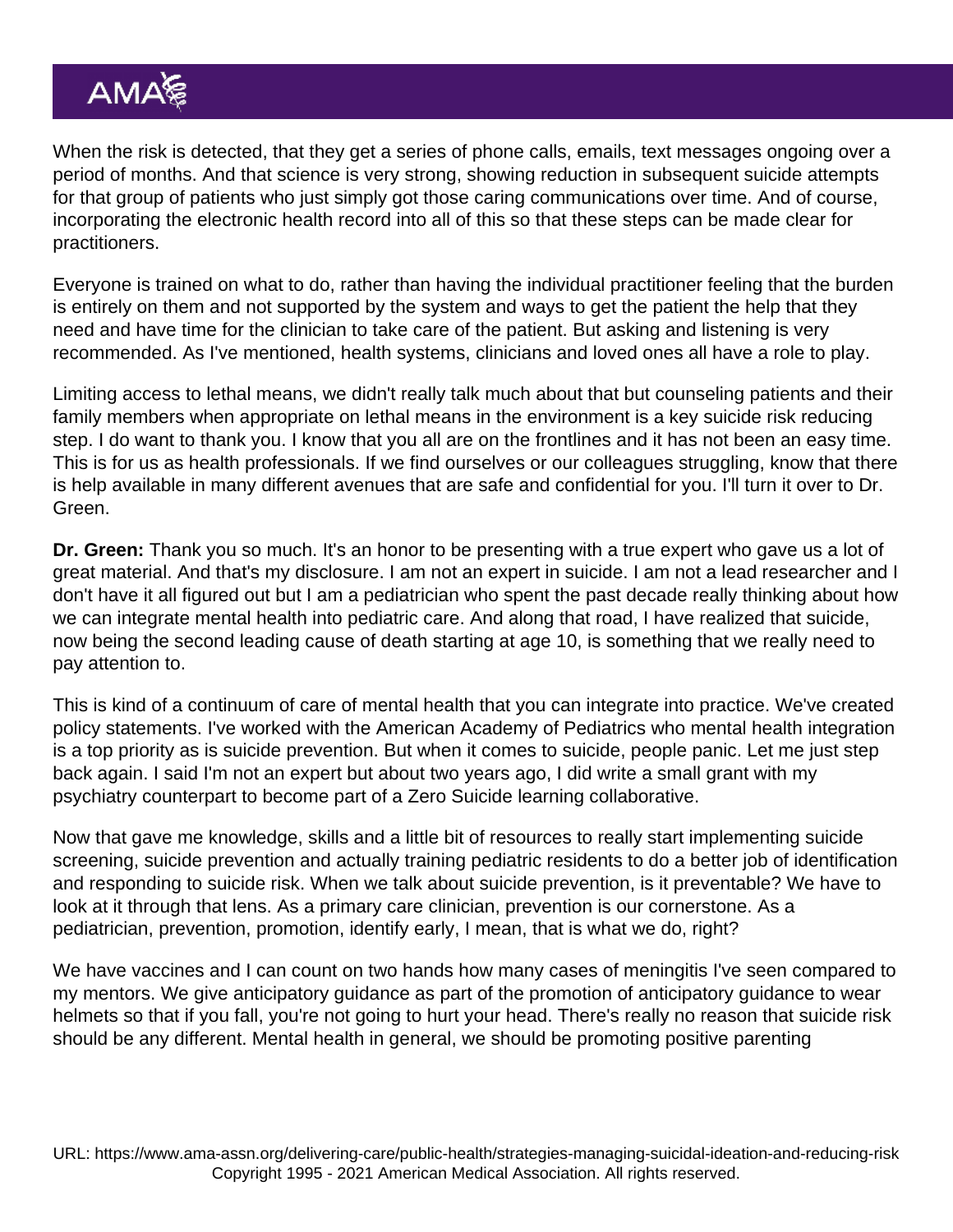When the risk is detected, that they get a series of phone calls, emails, text messages ongoing over a period of months. And that science is very strong, showing reduction in subsequent suicide attempts for that group of patients who just simply got those caring communications over time. And of course, incorporating the electronic health record into all of this so that these steps can be made clear for practitioners.

Everyone is trained on what to do, rather than having the individual practitioner feeling that the burden is entirely on them and not supported by the system and ways to get the patient the help that they need and have time for the clinician to take care of the patient. But asking and listening is very recommended. As I've mentioned, health systems, clinicians and loved ones all have a role to play.

Limiting access to lethal means, we didn't really talk much about that but counseling patients and their family members when appropriate on lethal means in the environment is a key suicide risk reducing step. I do want to thank you. I know that you all are on the frontlines and it has not been an easy time. This is for us as health professionals. If we find ourselves or our colleagues struggling, know that there is help available in many different avenues that are safe and confidential for you. I'll turn it over to Dr. Green.

Dr. Green: Thank you so much. It's an honor to be presenting with a true expert who gave us a lot of great material. And that's my disclosure. I am not an expert in suicide. I am not a lead researcher and I don't have it all figured out but I am a pediatrician who spent the past decade really thinking about how we can integrate mental health into pediatric care. And along that road, I have realized that suicide, now being the second leading cause of death starting at age 10, is something that we really need to pay attention to.

This is kind of a continuum of care of mental health that you can integrate into practice. We've created policy statements. I've worked with the American Academy of Pediatrics who mental health integration is a top priority as is suicide prevention. But when it comes to suicide, people panic. Let me just step back again. I said I'm not an expert but about two years ago, I did write a small grant with my psychiatry counterpart to become part of a Zero Suicide learning collaborative.

Now that gave me knowledge, skills and a little bit of resources to really start implementing suicide screening, suicide prevention and actually training pediatric residents to do a better job of identification and responding to suicide risk. When we talk about suicide prevention, is it preventable? We have to look at it through that lens. As a primary care clinician, prevention is our cornerstone. As a pediatrician, prevention, promotion, identify early, I mean, that is what we do, right?

We have vaccines and I can count on two hands how many cases of meningitis I've seen compared to my mentors. We give anticipatory guidance as part of the promotion of anticipatory guidance to wear helmets so that if you fall, you're not going to hurt your head. There's really no reason that suicide risk should be any different. Mental health in general, we should be promoting positive parenting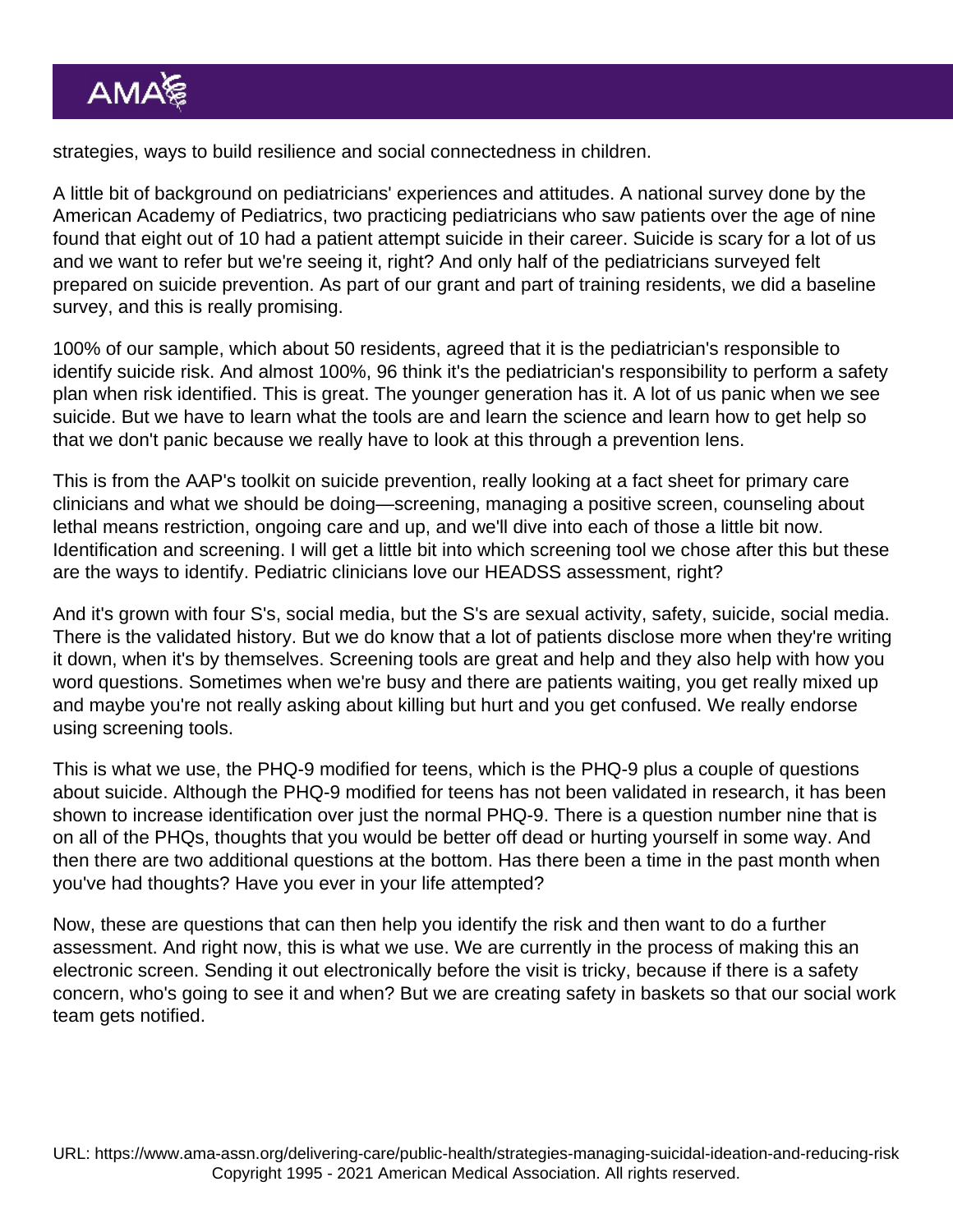strategies, ways to build resilience and social connectedness in children.

A little bit of background on pediatricians' experiences and attitudes. A national survey done by the American Academy of Pediatrics, two practicing pediatricians who saw patients over the age of nine found that eight out of 10 had a patient attempt suicide in their career. Suicide is scary for a lot of us and we want to refer but we're seeing it, right? And only half of the pediatricians surveyed felt prepared on suicide prevention. As part of our grant and part of training residents, we did a baseline survey, and this is really promising.

100% of our sample, which about 50 residents, agreed that it is the pediatrician's responsible to identify suicide risk. And almost 100%, 96 think it's the pediatrician's responsibility to perform a safety plan when risk identified. This is great. The younger generation has it. A lot of us panic when we see suicide. But we have to learn what the tools are and learn the science and learn how to get help so that we don't panic because we really have to look at this through a prevention lens.

This is from the AAP's toolkit on suicide prevention, really looking at a fact sheet for primary care clinicians and what we should be doing—screening, managing a positive screen, counseling about lethal means restriction, ongoing care and up, and we'll dive into each of those a little bit now. Identification and screening. I will get a little bit into which screening tool we chose after this but these are the ways to identify. Pediatric clinicians love our HEADSS assessment, right?

And it's grown with four S's, social media, but the S's are sexual activity, safety, suicide, social media. There is the validated history. But we do know that a lot of patients disclose more when they're writing it down, when it's by themselves. Screening tools are great and help and they also help with how you word questions. Sometimes when we're busy and there are patients waiting, you get really mixed up and maybe you're not really asking about killing but hurt and you get confused. We really endorse using screening tools.

This is what we use, the PHQ-9 modified for teens, which is the PHQ-9 plus a couple of questions about suicide. Although the PHQ-9 modified for teens has not been validated in research, it has been shown to increase identification over just the normal PHQ-9. There is a question number nine that is on all of the PHQs, thoughts that you would be better off dead or hurting yourself in some way. And then there are two additional questions at the bottom. Has there been a time in the past month when you've had thoughts? Have you ever in your life attempted?

Now, these are questions that can then help you identify the risk and then want to do a further assessment. And right now, this is what we use. We are currently in the process of making this an electronic screen. Sending it out electronically before the visit is tricky, because if there is a safety concern, who's going to see it and when? But we are creating safety in baskets so that our social work team gets notified.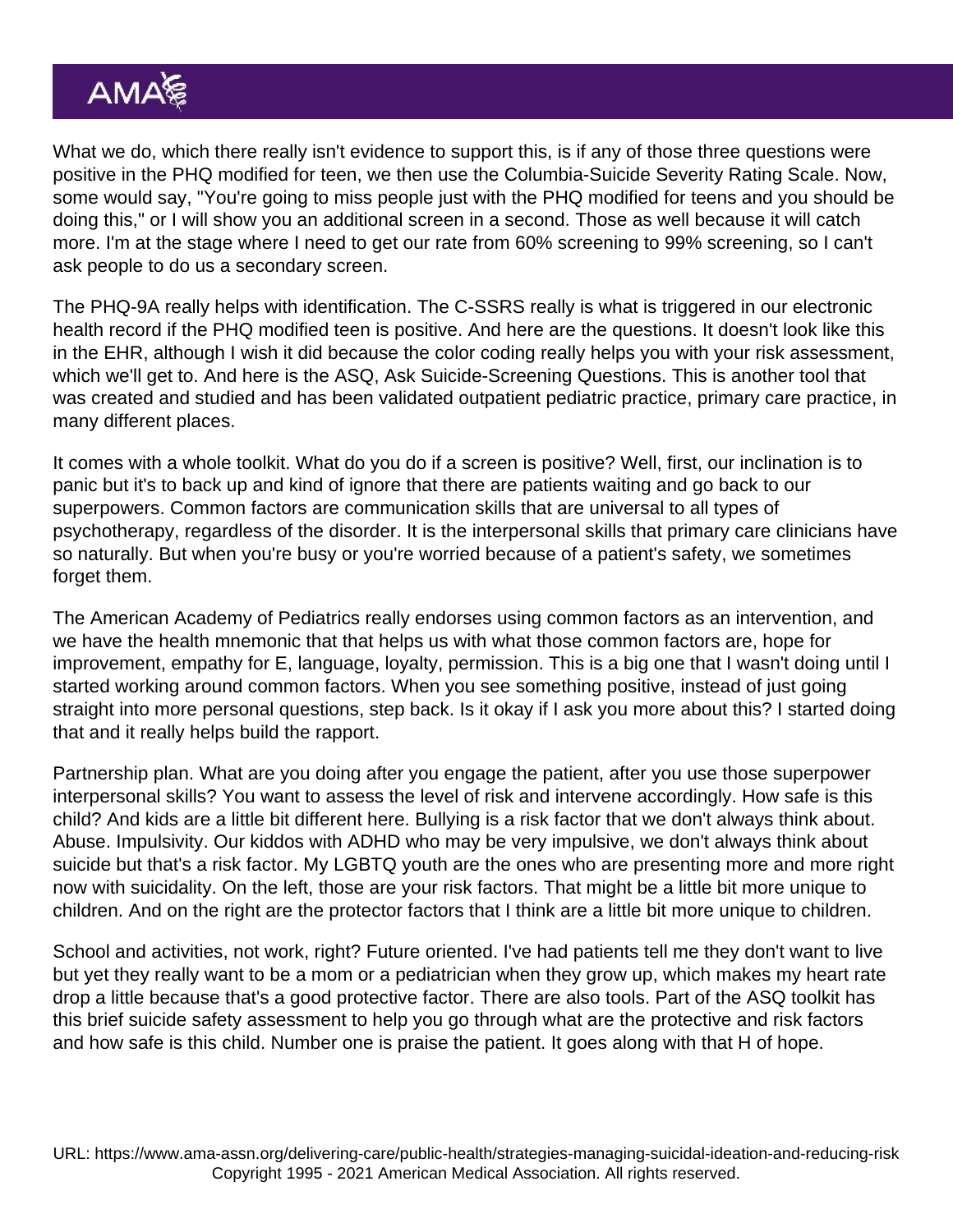What we do, which there really isn't evidence to support this, is if any of those three questions were positive in the PHQ modified for teen, we then use the Columbia-Suicide Severity Rating Scale. Now, some would say, "You're going to miss people just with the PHQ modified for teens and you should be doing this," or I will show you an additional screen in a second. Those as well because it will catch more. I'm at the stage where I need to get our rate from 60% screening to 99% screening, so I can't ask people to do us a secondary screen.

The PHQ-9A really helps with identification. The C-SSRS really is what is triggered in our electronic health record if the PHQ modified teen is positive. And here are the questions. It doesn't look like this in the EHR, although I wish it did because the color coding really helps you with your risk assessment, which we'll get to. And here is the ASQ, Ask Suicide-Screening Questions. This is another tool that was created and studied and has been validated outpatient pediatric practice, primary care practice, in many different places.

It comes with a whole toolkit. What do you do if a screen is positive? Well, first, our inclination is to panic but it's to back up and kind of ignore that there are patients waiting and go back to our superpowers. Common factors are communication skills that are universal to all types of psychotherapy, regardless of the disorder. It is the interpersonal skills that primary care clinicians have so naturally. But when you're busy or you're worried because of a patient's safety, we sometimes forget them.

The American Academy of Pediatrics really endorses using common factors as an intervention, and we have the health mnemonic that that helps us with what those common factors are, hope for improvement, empathy for E, language, loyalty, permission. This is a big one that I wasn't doing until I started working around common factors. When you see something positive, instead of just going straight into more personal questions, step back. Is it okay if I ask you more about this? I started doing that and it really helps build the rapport.

Partnership plan. What are you doing after you engage the patient, after you use those superpower interpersonal skills? You want to assess the level of risk and intervene accordingly. How safe is this child? And kids are a little bit different here. Bullying is a risk factor that we don't always think about. Abuse. Impulsivity. Our kiddos with ADHD who may be very impulsive, we don't always think about suicide but that's a risk factor. My LGBTQ youth are the ones who are presenting more and more right now with suicidality. On the left, those are your risk factors. That might be a little bit more unique to children. And on the right are the protector factors that I think are a little bit more unique to children.

School and activities, not work, right? Future oriented. I've had patients tell me they don't want to live but yet they really want to be a mom or a pediatrician when they grow up, which makes my heart rate drop a little because that's a good protective factor. There are also tools. Part of the ASQ toolkit has this brief suicide safety assessment to help you go through what are the protective and risk factors and how safe is this child. Number one is praise the patient. It goes along with that H of hope.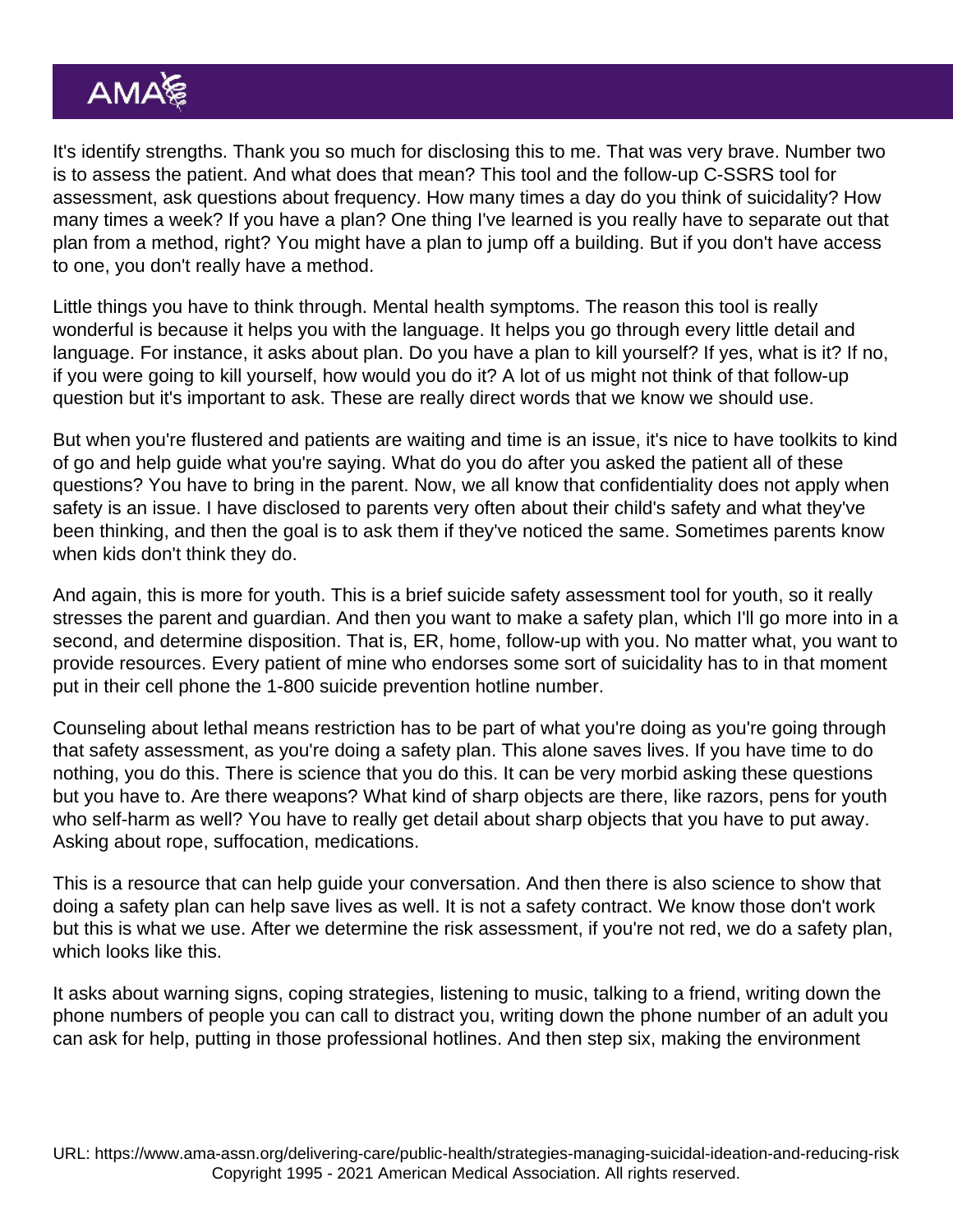It's identify strengths. Thank you so much for disclosing this to me. That was very brave. Number two is to assess the patient. And what does that mean? This tool and the follow-up C-SSRS tool for assessment, ask questions about frequency. How many times a day do you think of suicidality? How many times a week? If you have a plan? One thing I've learned is you really have to separate out that plan from a method, right? You might have a plan to jump off a building. But if you don't have access to one, you don't really have a method.

Little things you have to think through. Mental health symptoms. The reason this tool is really wonderful is because it helps you with the language. It helps you go through every little detail and language. For instance, it asks about plan. Do you have a plan to kill yourself? If yes, what is it? If no, if you were going to kill yourself, how would you do it? A lot of us might not think of that follow-up question but it's important to ask. These are really direct words that we know we should use.

But when you're flustered and patients are waiting and time is an issue, it's nice to have toolkits to kind of go and help guide what you're saying. What do you do after you asked the patient all of these questions? You have to bring in the parent. Now, we all know that confidentiality does not apply when safety is an issue. I have disclosed to parents very often about their child's safety and what they've been thinking, and then the goal is to ask them if they've noticed the same. Sometimes parents know when kids don't think they do.

And again, this is more for youth. This is a brief suicide safety assessment tool for youth, so it really stresses the parent and guardian. And then you want to make a safety plan, which I'll go more into in a second, and determine disposition. That is, ER, home, follow-up with you. No matter what, you want to provide resources. Every patient of mine who endorses some sort of suicidality has to in that moment put in their cell phone the 1-800 suicide prevention hotline number.

Counseling about lethal means restriction has to be part of what you're doing as you're going through that safety assessment, as you're doing a safety plan. This alone saves lives. If you have time to do nothing, you do this. There is science that you do this. It can be very morbid asking these questions but you have to. Are there weapons? What kind of sharp objects are there, like razors, pens for youth who self-harm as well? You have to really get detail about sharp objects that you have to put away. Asking about rope, suffocation, medications.

This is a resource that can help guide your conversation. And then there is also science to show that doing a safety plan can help save lives as well. It is not a safety contract. We know those don't work but this is what we use. After we determine the risk assessment, if you're not red, we do a safety plan, which looks like this.

It asks about warning signs, coping strategies, listening to music, talking to a friend, writing down the phone numbers of people you can call to distract you, writing down the phone number of an adult you can ask for help, putting in those professional hotlines. And then step six, making the environment